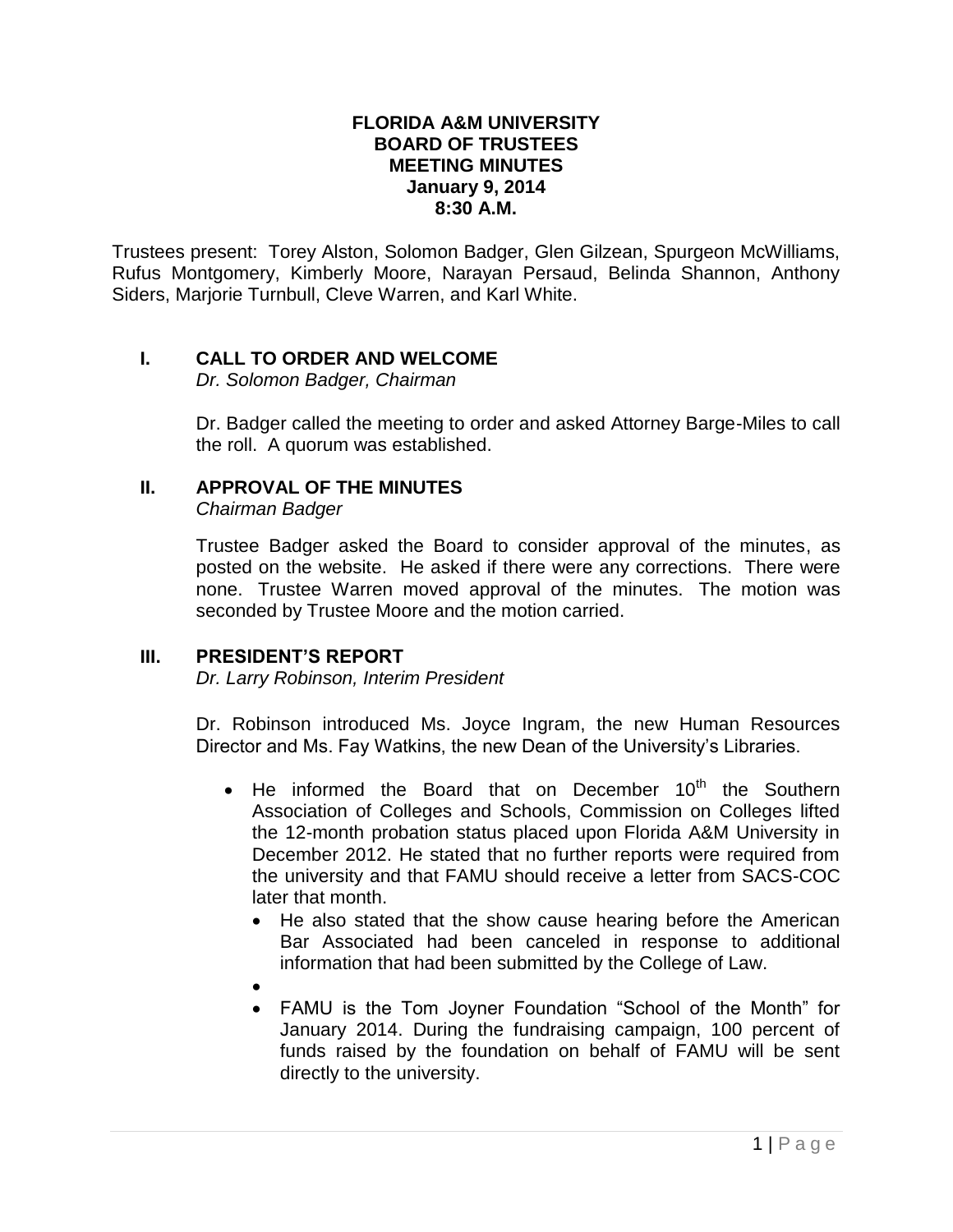#### **FLORIDA A&M UNIVERSITY BOARD OF TRUSTEES MEETING MINUTES January 9, 2014 8:30 A.M.**

Trustees present: Torey Alston, Solomon Badger, Glen Gilzean, Spurgeon McWilliams, Rufus Montgomery, Kimberly Moore, Narayan Persaud, Belinda Shannon, Anthony Siders, Marjorie Turnbull, Cleve Warren, and Karl White.

# **I. CALL TO ORDER AND WELCOME**

*Dr. Solomon Badger, Chairman*

Dr. Badger called the meeting to order and asked Attorney Barge-Miles to call the roll. A quorum was established.

### **II. APPROVAL OF THE MINUTES**

*Chairman Badger*

Trustee Badger asked the Board to consider approval of the minutes, as posted on the website. He asked if there were any corrections. There were none. Trustee Warren moved approval of the minutes. The motion was seconded by Trustee Moore and the motion carried.

#### **III. PRESIDENT'S REPORT**

*Dr. Larry Robinson, Interim President*

Dr. Robinson introduced Ms. Joyce Ingram, the new Human Resources Director and Ms. Fay Watkins, the new Dean of the University's Libraries.

- $\bullet$  He informed the Board that on December 10<sup>th</sup> the Southern Association of Colleges and Schools, Commission on Colleges lifted the 12-month probation status placed upon Florida A&M University in December 2012. He stated that no further reports were required from the university and that FAMU should receive a letter from SACS-COC later that month.
	- He also stated that the show cause hearing before the American Bar Associated had been canceled in response to additional information that had been submitted by the College of Law.
	- $\bullet$
	- FAMU is the Tom Joyner Foundation "School of the Month" for January 2014. During the fundraising campaign, 100 percent of funds raised by the foundation on behalf of FAMU will be sent directly to the university.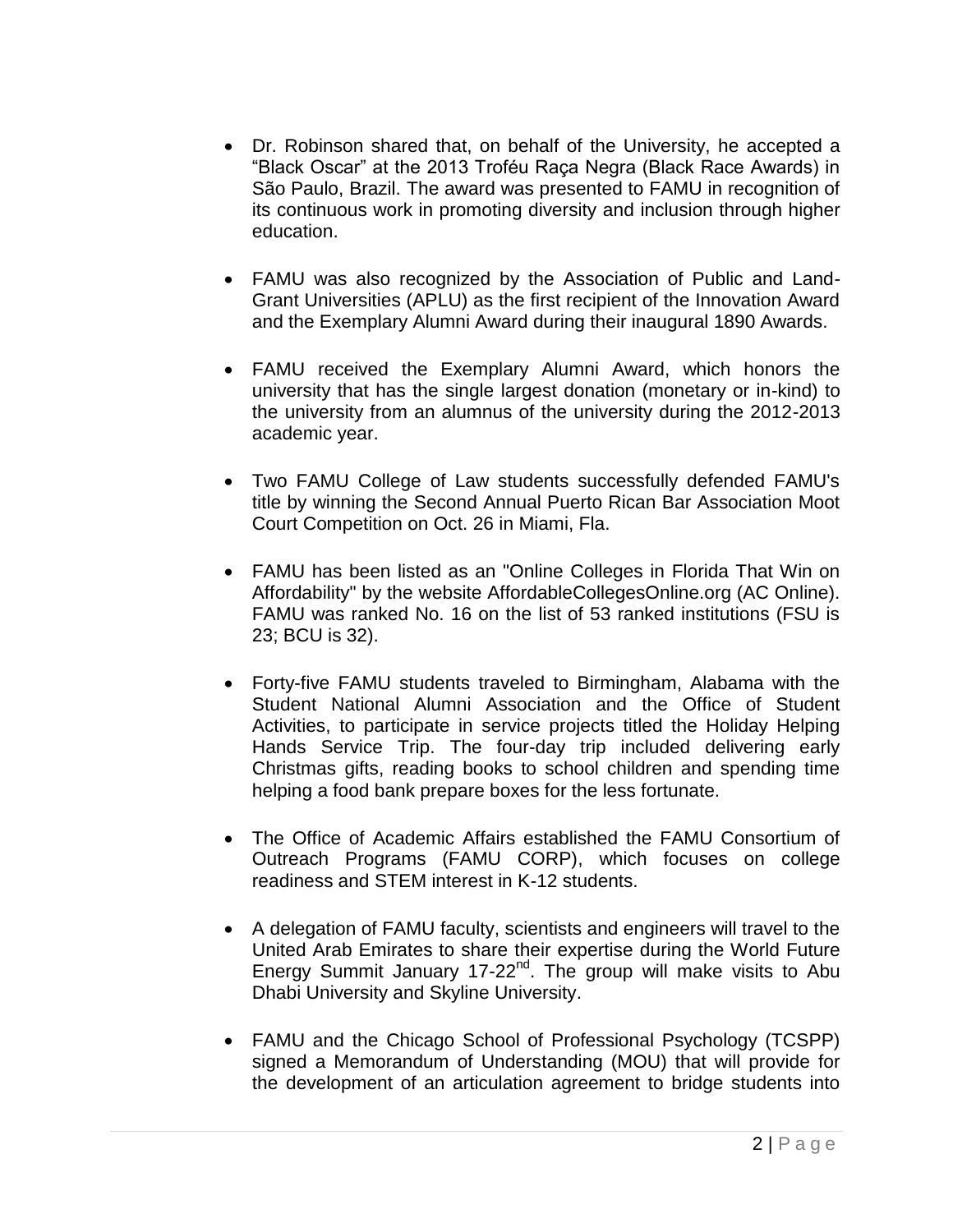- Dr. Robinson shared that, on behalf of the University, he accepted a "Black Oscar" at the 2013 Troféu Raça Negra (Black Race Awards) in São Paulo, Brazil. The award was presented to FAMU in recognition of its continuous work in promoting diversity and inclusion through higher education.
- FAMU was also recognized by the Association of Public and Land-Grant Universities (APLU) as the first recipient of the Innovation Award and the Exemplary Alumni Award during their inaugural 1890 Awards.
- FAMU received the Exemplary Alumni Award, which honors the university that has the single largest donation (monetary or in-kind) to the university from an alumnus of the university during the 2012-2013 academic year.
- Two FAMU College of Law students successfully defended FAMU's title by winning the Second Annual Puerto Rican Bar Association Moot Court Competition on Oct. 26 in Miami, Fla.
- FAMU has been listed as an "Online Colleges in Florida That Win on Affordability" by the website AffordableCollegesOnline.org (AC Online). FAMU was ranked No. 16 on the list of 53 ranked institutions (FSU is 23; BCU is 32).
- Forty-five FAMU students traveled to Birmingham, Alabama with the Student National Alumni Association and the Office of Student Activities, to participate in service projects titled the Holiday Helping Hands Service Trip. The four-day trip included delivering early Christmas gifts, reading books to school children and spending time helping a food bank prepare boxes for the less fortunate.
- The Office of Academic Affairs established the FAMU Consortium of Outreach Programs (FAMU CORP), which focuses on college readiness and STEM interest in K-12 students.
- A delegation of FAMU faculty, scientists and engineers will travel to the United Arab Emirates to share their expertise during the World Future Energy Summit January 17-22<sup>nd</sup>. The group will make visits to Abu Dhabi University and Skyline University.
- FAMU and the Chicago School of Professional Psychology (TCSPP) signed a Memorandum of Understanding (MOU) that will provide for the development of an articulation agreement to bridge students into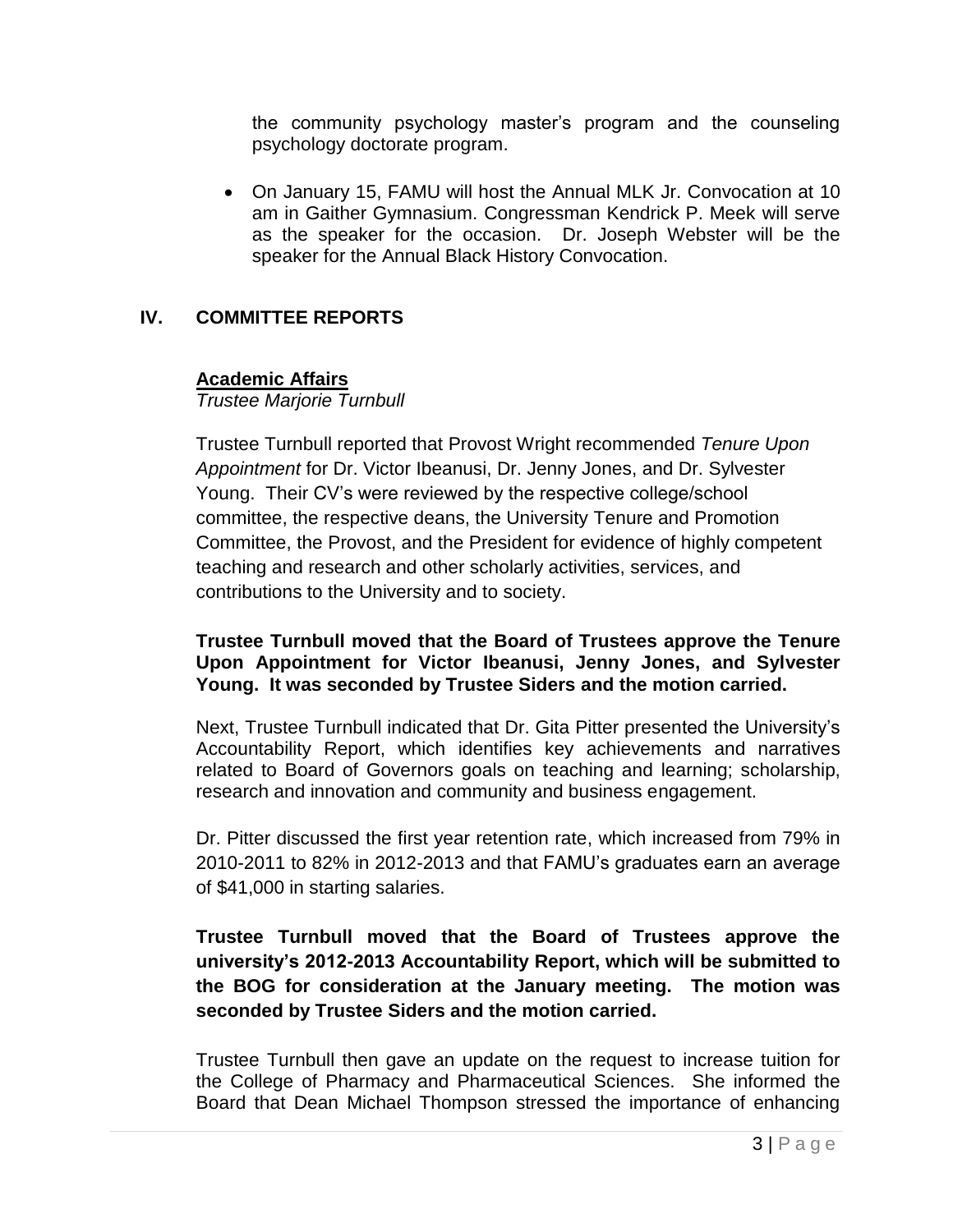the community psychology master's program and the counseling psychology doctorate program.

 On January 15, FAMU will host the Annual MLK Jr. Convocation at 10 am in Gaither Gymnasium. Congressman Kendrick P. Meek will serve as the speaker for the occasion. Dr. Joseph Webster will be the speaker for the Annual Black History Convocation.

# **IV. COMMITTEE REPORTS**

### **Academic Affairs**

*Trustee Marjorie Turnbull*

Trustee Turnbull reported that Provost Wright recommended *Tenure Upon Appointment* for Dr. Victor Ibeanusi, Dr. Jenny Jones, and Dr. Sylvester Young. Their CV's were reviewed by the respective college/school committee, the respective deans, the University Tenure and Promotion Committee, the Provost, and the President for evidence of highly competent teaching and research and other scholarly activities, services, and contributions to the University and to society.

### **Trustee Turnbull moved that the Board of Trustees approve the Tenure Upon Appointment for Victor Ibeanusi, Jenny Jones, and Sylvester Young. It was seconded by Trustee Siders and the motion carried.**

Next, Trustee Turnbull indicated that Dr. Gita Pitter presented the University's Accountability Report, which identifies key achievements and narratives related to Board of Governors goals on teaching and learning; scholarship, research and innovation and community and business engagement.

Dr. Pitter discussed the first year retention rate, which increased from 79% in 2010-2011 to 82% in 2012-2013 and that FAMU's graduates earn an average of \$41,000 in starting salaries.

# **Trustee Turnbull moved that the Board of Trustees approve the university's 2012-2013 Accountability Report, which will be submitted to the BOG for consideration at the January meeting. The motion was seconded by Trustee Siders and the motion carried.**

Trustee Turnbull then gave an update on the request to increase tuition for the College of Pharmacy and Pharmaceutical Sciences. She informed the Board that Dean Michael Thompson stressed the importance of enhancing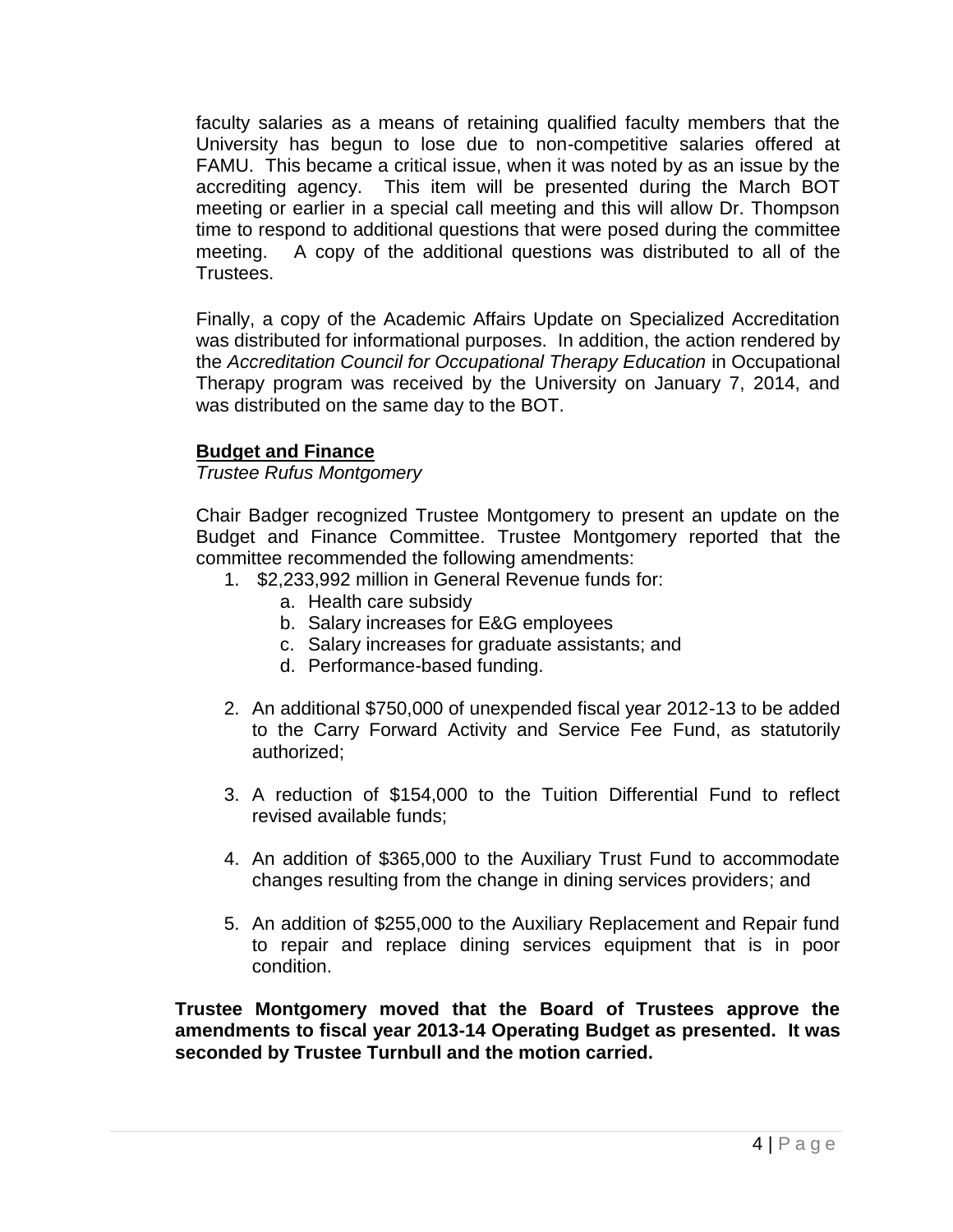faculty salaries as a means of retaining qualified faculty members that the University has begun to lose due to non-competitive salaries offered at FAMU. This became a critical issue, when it was noted by as an issue by the accrediting agency. This item will be presented during the March BOT meeting or earlier in a special call meeting and this will allow Dr. Thompson time to respond to additional questions that were posed during the committee meeting. A copy of the additional questions was distributed to all of the Trustees.

Finally, a copy of the Academic Affairs Update on Specialized Accreditation was distributed for informational purposes. In addition, the action rendered by the *Accreditation Council for Occupational Therapy Education* in Occupational Therapy program was received by the University on January 7, 2014, and was distributed on the same day to the BOT.

#### **Budget and Finance**

*Trustee Rufus Montgomery*

Chair Badger recognized Trustee Montgomery to present an update on the Budget and Finance Committee. Trustee Montgomery reported that the committee recommended the following amendments:

- 1. \$2,233,992 million in General Revenue funds for:
	- a. Health care subsidy
	- b. Salary increases for E&G employees
	- c. Salary increases for graduate assistants; and
	- d. Performance-based funding.
- 2. An additional \$750,000 of unexpended fiscal year 2012-13 to be added to the Carry Forward Activity and Service Fee Fund, as statutorily authorized;
- 3. A reduction of \$154,000 to the Tuition Differential Fund to reflect revised available funds;
- 4. An addition of \$365,000 to the Auxiliary Trust Fund to accommodate changes resulting from the change in dining services providers; and
- 5. An addition of \$255,000 to the Auxiliary Replacement and Repair fund to repair and replace dining services equipment that is in poor condition.

**Trustee Montgomery moved that the Board of Trustees approve the amendments to fiscal year 2013-14 Operating Budget as presented. It was seconded by Trustee Turnbull and the motion carried.**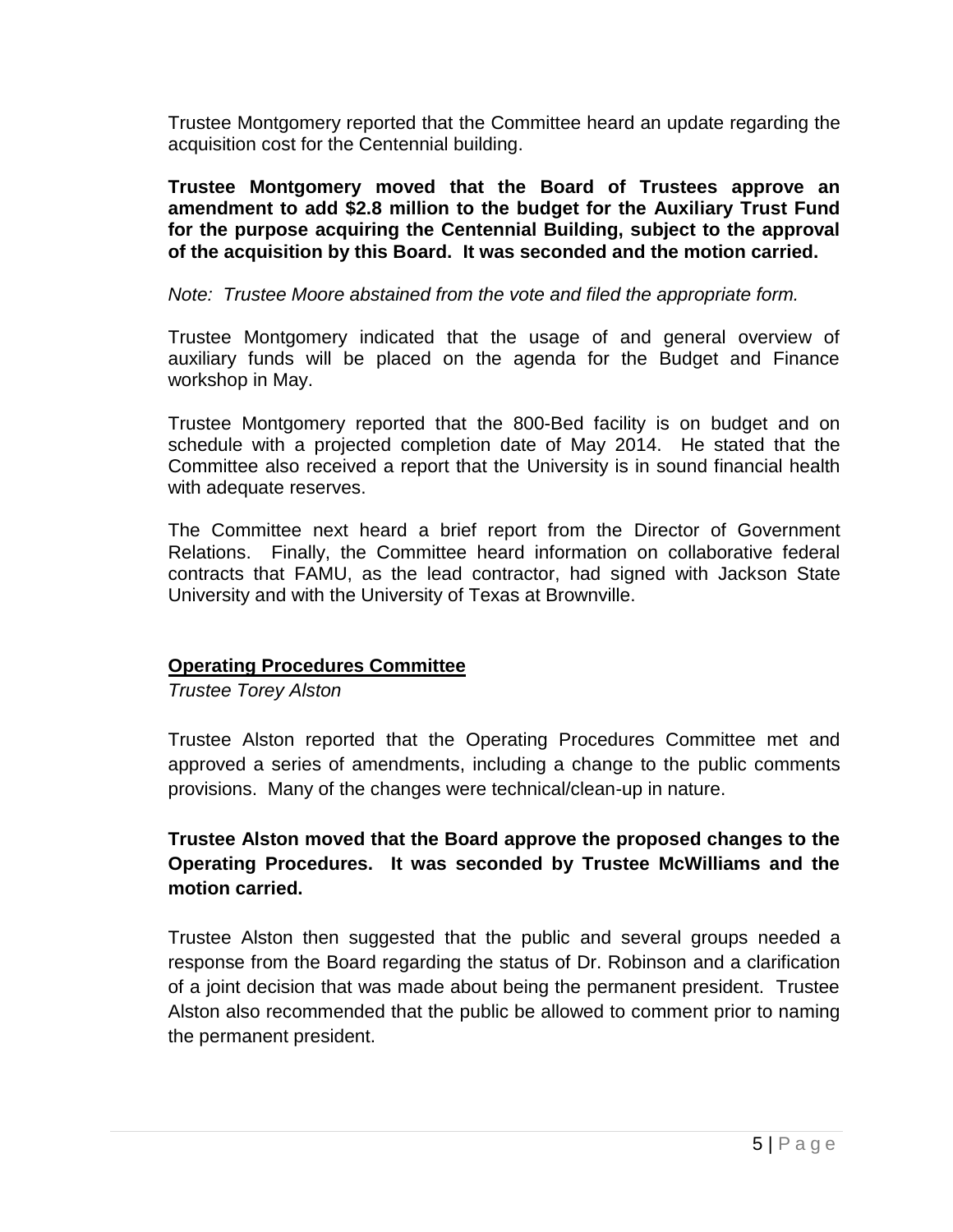Trustee Montgomery reported that the Committee heard an update regarding the acquisition cost for the Centennial building.

**Trustee Montgomery moved that the Board of Trustees approve an amendment to add \$2.8 million to the budget for the Auxiliary Trust Fund for the purpose acquiring the Centennial Building, subject to the approval of the acquisition by this Board. It was seconded and the motion carried.**

### *Note: Trustee Moore abstained from the vote and filed the appropriate form.*

Trustee Montgomery indicated that the usage of and general overview of auxiliary funds will be placed on the agenda for the Budget and Finance workshop in May.

Trustee Montgomery reported that the 800-Bed facility is on budget and on schedule with a projected completion date of May 2014. He stated that the Committee also received a report that the University is in sound financial health with adequate reserves.

The Committee next heard a brief report from the Director of Government Relations. Finally, the Committee heard information on collaborative federal contracts that FAMU, as the lead contractor, had signed with Jackson State University and with the University of Texas at Brownville.

# **Operating Procedures Committee**

*Trustee Torey Alston*

Trustee Alston reported that the Operating Procedures Committee met and approved a series of amendments, including a change to the public comments provisions. Many of the changes were technical/clean-up in nature.

# **Trustee Alston moved that the Board approve the proposed changes to the Operating Procedures. It was seconded by Trustee McWilliams and the motion carried.**

Trustee Alston then suggested that the public and several groups needed a response from the Board regarding the status of Dr. Robinson and a clarification of a joint decision that was made about being the permanent president. Trustee Alston also recommended that the public be allowed to comment prior to naming the permanent president.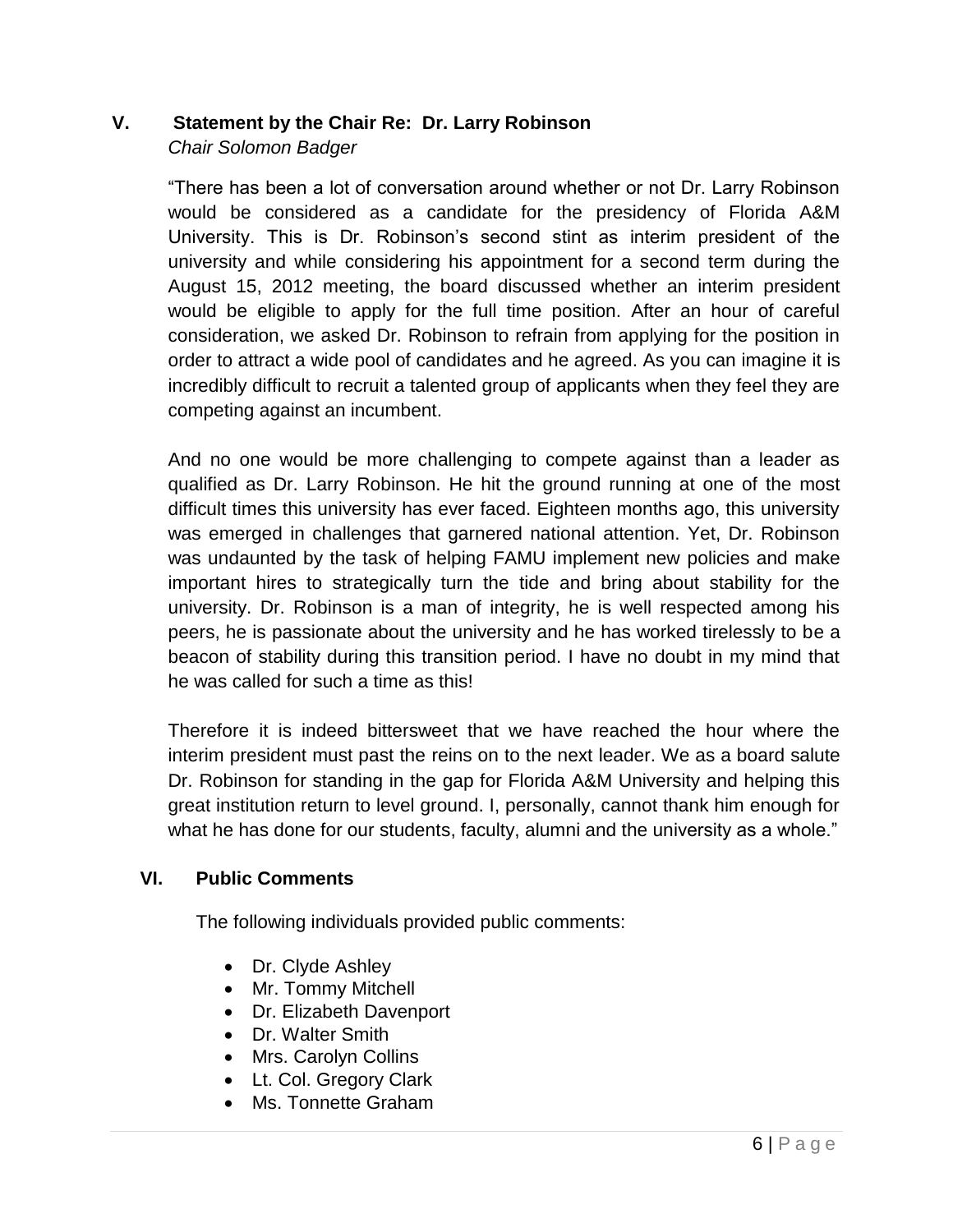# **V. Statement by the Chair Re: Dr. Larry Robinson** *Chair Solomon Badger*

"There has been a lot of conversation around whether or not Dr. Larry Robinson would be considered as a candidate for the presidency of Florida A&M University. This is Dr. Robinson's second stint as interim president of the university and while considering his appointment for a second term during the August 15, 2012 meeting, the board discussed whether an interim president would be eligible to apply for the full time position. After an hour of careful consideration, we asked Dr. Robinson to refrain from applying for the position in order to attract a wide pool of candidates and he agreed. As you can imagine it is incredibly difficult to recruit a talented group of applicants when they feel they are competing against an incumbent.

And no one would be more challenging to compete against than a leader as qualified as Dr. Larry Robinson. He hit the ground running at one of the most difficult times this university has ever faced. Eighteen months ago, this university was emerged in challenges that garnered national attention. Yet, Dr. Robinson was undaunted by the task of helping FAMU implement new policies and make important hires to strategically turn the tide and bring about stability for the university. Dr. Robinson is a man of integrity, he is well respected among his peers, he is passionate about the university and he has worked tirelessly to be a beacon of stability during this transition period. I have no doubt in my mind that he was called for such a time as this!

Therefore it is indeed bittersweet that we have reached the hour where the interim president must past the reins on to the next leader. We as a board salute Dr. Robinson for standing in the gap for Florida A&M University and helping this great institution return to level ground. I, personally, cannot thank him enough for what he has done for our students, faculty, alumni and the university as a whole."

# **VI. Public Comments**

The following individuals provided public comments:

- Dr. Clyde Ashley
- Mr. Tommy Mitchell
- Dr. Elizabeth Davenport
- Dr. Walter Smith
- Mrs. Carolyn Collins
- Lt. Col. Gregory Clark
- Ms. Tonnette Graham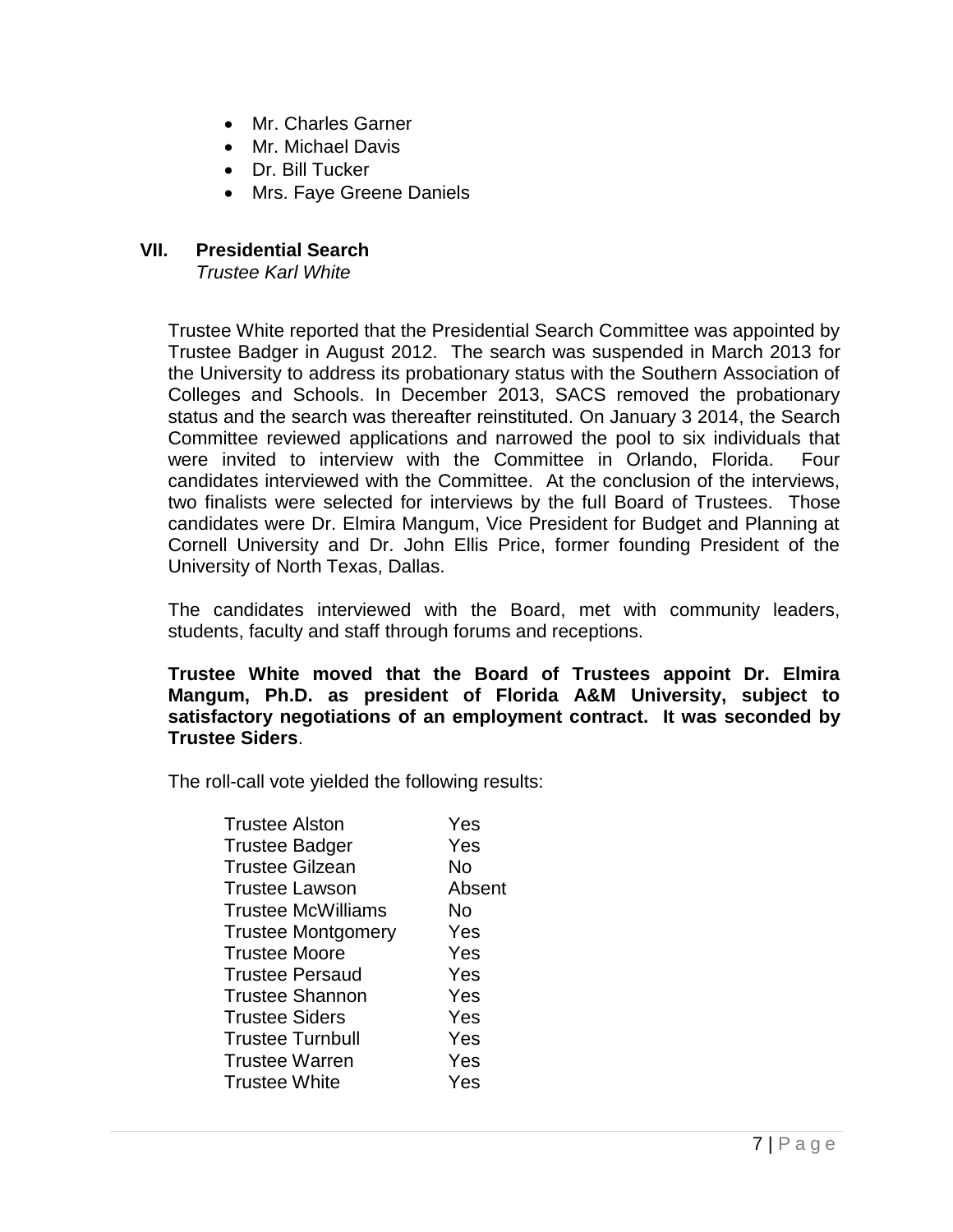- Mr. Charles Garner
- Mr. Michael Davis
- Dr. Bill Tucker
- Mrs. Faye Greene Daniels

# **VII. Presidential Search**

*Trustee Karl White*

Trustee White reported that the Presidential Search Committee was appointed by Trustee Badger in August 2012. The search was suspended in March 2013 for the University to address its probationary status with the Southern Association of Colleges and Schools. In December 2013, SACS removed the probationary status and the search was thereafter reinstituted. On January 3 2014, the Search Committee reviewed applications and narrowed the pool to six individuals that were invited to interview with the Committee in Orlando, Florida. Four candidates interviewed with the Committee. At the conclusion of the interviews, two finalists were selected for interviews by the full Board of Trustees. Those candidates were Dr. Elmira Mangum, Vice President for Budget and Planning at Cornell University and Dr. John Ellis Price, former founding President of the University of North Texas, Dallas.

The candidates interviewed with the Board, met with community leaders, students, faculty and staff through forums and receptions.

**Trustee White moved that the Board of Trustees appoint Dr. Elmira Mangum, Ph.D. as president of Florida A&M University, subject to satisfactory negotiations of an employment contract. It was seconded by Trustee Siders**.

The roll-call vote yielded the following results:

| <b>Trustee Alston</b>     | Yes    |
|---------------------------|--------|
| <b>Trustee Badger</b>     | Yes    |
| <b>Trustee Gilzean</b>    | No     |
| <b>Trustee Lawson</b>     | Absent |
| <b>Trustee McWilliams</b> | No     |
| <b>Trustee Montgomery</b> | Yes    |
| <b>Trustee Moore</b>      | Yes    |
| <b>Trustee Persaud</b>    | Yes    |
| <b>Trustee Shannon</b>    | Yes    |
| <b>Trustee Siders</b>     | Yes    |
| <b>Trustee Turnbull</b>   | Yes    |
| <b>Trustee Warren</b>     | Yes    |
| <b>Trustee White</b>      | Yes    |
|                           |        |